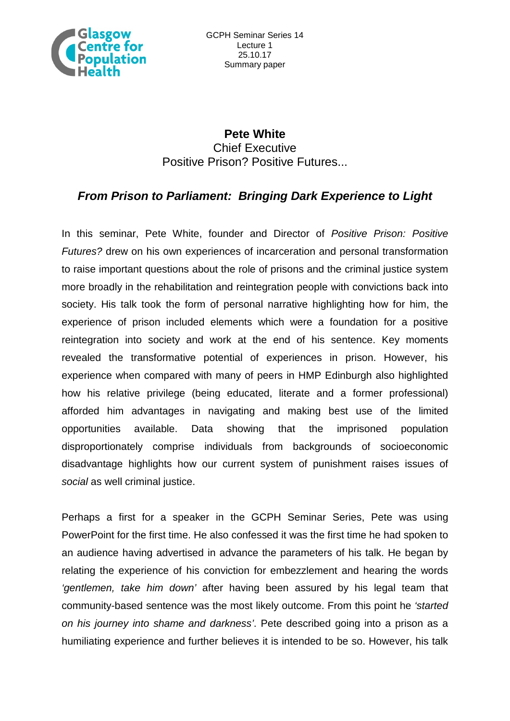

## **Pete White** Chief Executive Positive Prison? Positive Futures...

## *From Prison to Parliament: Bringing Dark Experience to Light*

In this seminar, Pete White, founder and Director of *Positive Prison: Positive Futures?* drew on his own experiences of incarceration and personal transformation to raise important questions about the role of prisons and the criminal justice system more broadly in the rehabilitation and reintegration people with convictions back into society. His talk took the form of personal narrative highlighting how for him, the experience of prison included elements which were a foundation for a positive reintegration into society and work at the end of his sentence. Key moments revealed the transformative potential of experiences in prison. However, his experience when compared with many of peers in HMP Edinburgh also highlighted how his relative privilege (being educated, literate and a former professional) afforded him advantages in navigating and making best use of the limited opportunities available. Data showing that the imprisoned population disproportionately comprise individuals from backgrounds of socioeconomic disadvantage highlights how our current system of punishment raises issues of *social* as well criminal justice.

Perhaps a first for a speaker in the GCPH Seminar Series, Pete was using PowerPoint for the first time. He also confessed it was the first time he had spoken to an audience having advertised in advance the parameters of his talk. He began by relating the experience of his conviction for embezzlement and hearing the words *'gentlemen, take him down'* after having been assured by his legal team that community-based sentence was the most likely outcome. From this point he *'started on his journey into shame and darkness'*. Pete described going into a prison as a humiliating experience and further believes it is intended to be so. However, his talk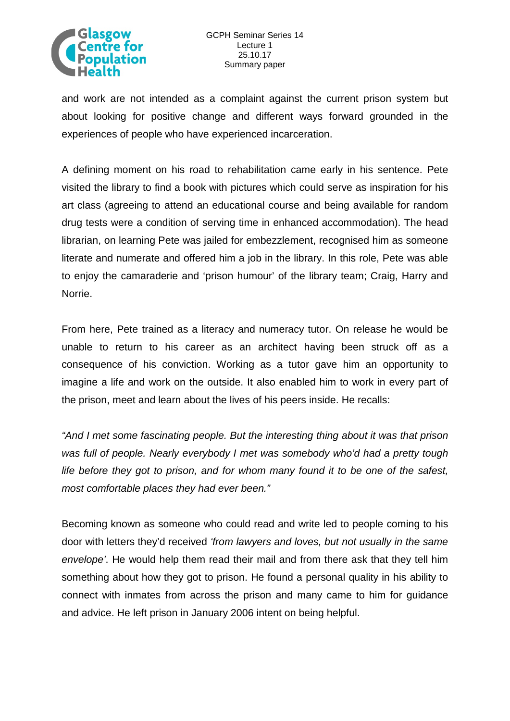

and work are not intended as a complaint against the current prison system but about looking for positive change and different ways forward grounded in the experiences of people who have experienced incarceration.

A defining moment on his road to rehabilitation came early in his sentence. Pete visited the library to find a book with pictures which could serve as inspiration for his art class (agreeing to attend an educational course and being available for random drug tests were a condition of serving time in enhanced accommodation). The head librarian, on learning Pete was jailed for embezzlement, recognised him as someone literate and numerate and offered him a job in the library. In this role, Pete was able to enjoy the camaraderie and 'prison humour' of the library team; Craig, Harry and Norrie.

From here, Pete trained as a literacy and numeracy tutor. On release he would be unable to return to his career as an architect having been struck off as a consequence of his conviction. Working as a tutor gave him an opportunity to imagine a life and work on the outside. It also enabled him to work in every part of the prison, meet and learn about the lives of his peers inside. He recalls:

*"And I met some fascinating people. But the interesting thing about it was that prison was full of people. Nearly everybody I met was somebody who'd had a pretty tough life before they got to prison, and for whom many found it to be one of the safest, most comfortable places they had ever been."* 

Becoming known as someone who could read and write led to people coming to his door with letters they'd received *'from lawyers and loves, but not usually in the same envelope'*. He would help them read their mail and from there ask that they tell him something about how they got to prison. He found a personal quality in his ability to connect with inmates from across the prison and many came to him for guidance and advice. He left prison in January 2006 intent on being helpful.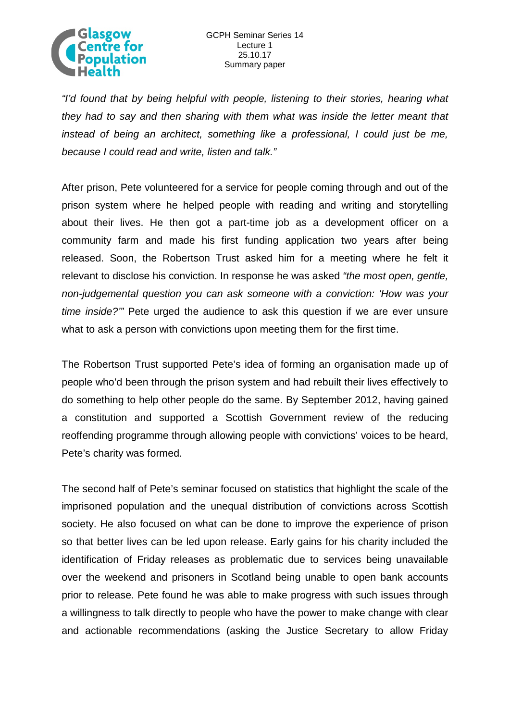

*"I'd found that by being helpful with people, listening to their stories, hearing what they had to say and then sharing with them what was inside the letter meant that instead of being an architect, something like a professional, I could just be me, because I could read and write, listen and talk."*

After prison, Pete volunteered for a service for people coming through and out of the prison system where he helped people with reading and writing and storytelling about their lives. He then got a part-time job as a development officer on a community farm and made his first funding application two years after being released. Soon, the Robertson Trust asked him for a meeting where he felt it relevant to disclose his conviction. In response he was asked *"the most open, gentle, non-judgemental question you can ask someone with a conviction: 'How was your time inside?'"* Pete urged the audience to ask this question if we are ever unsure what to ask a person with convictions upon meeting them for the first time.

The Robertson Trust supported Pete's idea of forming an organisation made up of people who'd been through the prison system and had rebuilt their lives effectively to do something to help other people do the same. By September 2012, having gained a constitution and supported a Scottish Government review of the reducing reoffending programme through allowing people with convictions' voices to be heard, Pete's charity was formed.

The second half of Pete's seminar focused on statistics that highlight the scale of the imprisoned population and the unequal distribution of convictions across Scottish society. He also focused on what can be done to improve the experience of prison so that better lives can be led upon release. Early gains for his charity included the identification of Friday releases as problematic due to services being unavailable over the weekend and prisoners in Scotland being unable to open bank accounts prior to release. Pete found he was able to make progress with such issues through a willingness to talk directly to people who have the power to make change with clear and actionable recommendations (asking the Justice Secretary to allow Friday